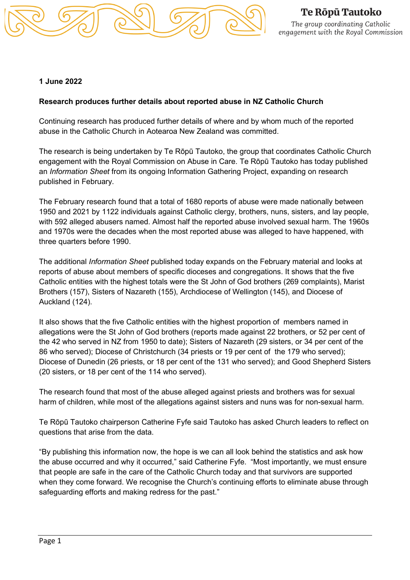

## **1 June 2022**

## **Research produces further details about reported abuse in NZ Catholic Church**

Continuing research has produced further details of where and by whom much of the reported abuse in the Catholic Church in Aotearoa New Zealand was committed.

The research is being undertaken by Te Rōpū Tautoko, the group that coordinates Catholic Church engagement with the Royal Commission on Abuse in Care. Te Rōpū Tautoko has today published an *Information Sheet* from its ongoing Information Gathering Project, expanding on research published in February.

The February research found that a total of 1680 reports of abuse were made nationally between 1950 and 2021 by 1122 individuals against Catholic clergy, brothers, nuns, sisters, and lay people, with 592 alleged abusers named. Almost half the reported abuse involved sexual harm. The 1960s and 1970s were the decades when the most reported abuse was alleged to have happened, with three quarters before 1990.

The additional *Information Sheet* published today expands on the February material and looks at reports of abuse about members of specific dioceses and congregations. It shows that the five Catholic entities with the highest totals were the St John of God brothers (269 complaints), Marist Brothers (157), Sisters of Nazareth (155), Archdiocese of Wellington (145), and Diocese of Auckland (124).

It also shows that the five Catholic entities with the highest proportion of members named in allegations were the St John of God brothers (reports made against 22 brothers, or 52 per cent of the 42 who served in NZ from 1950 to date); Sisters of Nazareth (29 sisters, or 34 per cent of the 86 who served); Diocese of Christchurch (34 priests or 19 per cent of the 179 who served); Diocese of Dunedin (26 priests, or 18 per cent of the 131 who served); and Good Shepherd Sisters (20 sisters, or 18 per cent of the 114 who served).

The research found that most of the abuse alleged against priests and brothers was for sexual harm of children, while most of the allegations against sisters and nuns was for non-sexual harm.

Te Rōpū Tautoko chairperson Catherine Fyfe said Tautoko has asked Church leaders to reflect on questions that arise from the data.

"By publishing this information now, the hope is we can all look behind the statistics and ask how the abuse occurred and why it occurred," said Catherine Fyfe. "Most importantly, we must ensure that people are safe in the care of the Catholic Church today and that survivors are supported when they come forward. We recognise the Church's continuing efforts to eliminate abuse through safeguarding efforts and making redress for the past."